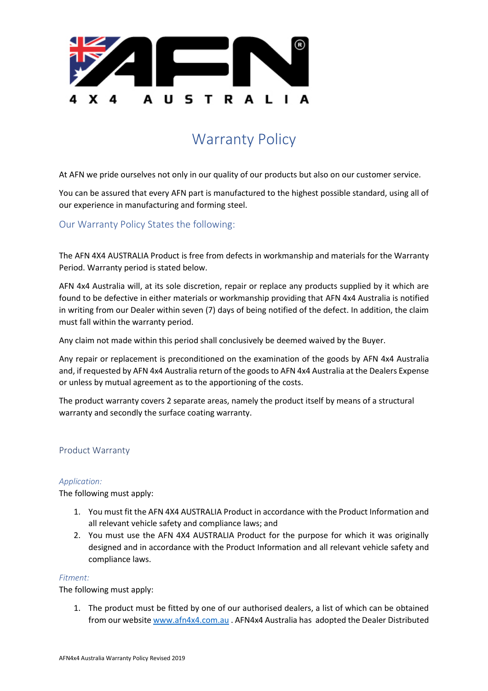

# Warranty Policy

At AFN we pride ourselves not only in our quality of our products but also on our customer service.

You can be assured that every AFN part is manufactured to the highest possible standard, using all of our experience in manufacturing and forming steel.

# Our Warranty Policy States the following:

The AFN 4X4 AUSTRALIA Product is free from defects in workmanship and materials for the Warranty Period. Warranty period is stated below.

AFN 4x4 Australia will, at its sole discretion, repair or replace any products supplied by it which are found to be defective in either materials or workmanship providing that AFN 4x4 Australia is notified in writing from our Dealer within seven (7) days of being notified of the defect. In addition, the claim must fall within the warranty period.

Any claim not made within this period shall conclusively be deemed waived by the Buyer.

Any repair or replacement is preconditioned on the examination of the goods by AFN 4x4 Australia and, if requested by AFN 4x4 Australia return of the goods to AFN 4x4 Australia at the Dealers Expense or unless by mutual agreement as to the apportioning of the costs.

The product warranty covers 2 separate areas, namely the product itself by means of a structural warranty and secondly the surface coating warranty.

## Product Warranty

## *Application:*

The following must apply:

- 1. You must fit the AFN 4X4 AUSTRALIA Product in accordance with the Product Information and all relevant vehicle safety and compliance laws; and
- 2. You must use the AFN 4X4 AUSTRALIA Product for the purpose for which it was originally designed and in accordance with the Product Information and all relevant vehicle safety and compliance laws.

## *Fitment:*

The following must apply:

1. The product must be fitted by one of our authorised dealers, a list of which can be obtained from our website [www.afn4x4.com.au](http://www.afn4x4.com.au/) . AFN4x4 Australia has adopted the Dealer Distributed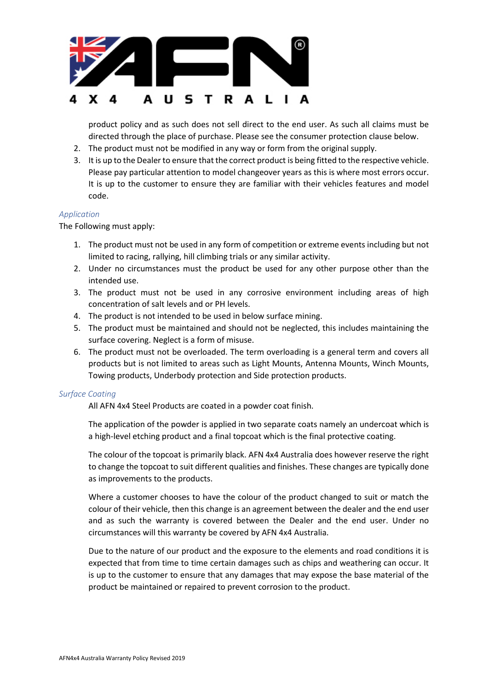

product policy and as such does not sell direct to the end user. As such all claims must be directed through the place of purchase. Please see the consumer protection clause below.

- 2. The product must not be modified in any way or form from the original supply.
- 3. It is up to the Dealer to ensure that the correct product is being fitted to the respective vehicle. Please pay particular attention to model changeover years as this is where most errors occur. It is up to the customer to ensure they are familiar with their vehicles features and model code.

#### *Application*

The Following must apply:

- 1. The product must not be used in any form of competition or extreme events including but not limited to racing, rallying, hill climbing trials or any similar activity.
- 2. Under no circumstances must the product be used for any other purpose other than the intended use.
- 3. The product must not be used in any corrosive environment including areas of high concentration of salt levels and or PH levels.
- 4. The product is not intended to be used in below surface mining.
- 5. The product must be maintained and should not be neglected, this includes maintaining the surface covering. Neglect is a form of misuse.
- 6. The product must not be overloaded. The term overloading is a general term and covers all products but is not limited to areas such as Light Mounts, Antenna Mounts, Winch Mounts, Towing products, Underbody protection and Side protection products.

#### *Surface Coating*

All AFN 4x4 Steel Products are coated in a powder coat finish.

The application of the powder is applied in two separate coats namely an undercoat which is a high-level etching product and a final topcoat which is the final protective coating.

The colour of the topcoat is primarily black. AFN 4x4 Australia does however reserve the right to change the topcoat to suit different qualities and finishes. These changes are typically done as improvements to the products.

Where a customer chooses to have the colour of the product changed to suit or match the colour of their vehicle, then this change is an agreement between the dealer and the end user and as such the warranty is covered between the Dealer and the end user. Under no circumstances will this warranty be covered by AFN 4x4 Australia.

Due to the nature of our product and the exposure to the elements and road conditions it is expected that from time to time certain damages such as chips and weathering can occur. It is up to the customer to ensure that any damages that may expose the base material of the product be maintained or repaired to prevent corrosion to the product.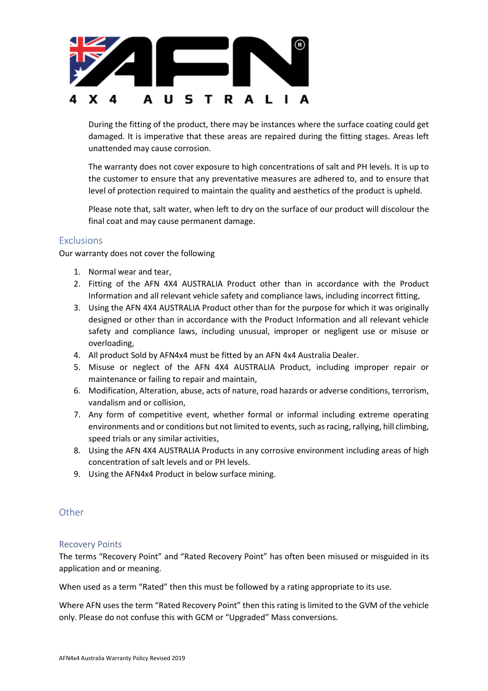

During the fitting of the product, there may be instances where the surface coating could get damaged. It is imperative that these areas are repaired during the fitting stages. Areas left unattended may cause corrosion.

The warranty does not cover exposure to high concentrations of salt and PH levels. It is up to the customer to ensure that any preventative measures are adhered to, and to ensure that level of protection required to maintain the quality and aesthetics of the product is upheld.

Please note that, salt water, when left to dry on the surface of our product will discolour the final coat and may cause permanent damage.

## **Exclusions**

Our warranty does not cover the following

- 1. Normal wear and tear,
- 2. Fitting of the AFN 4X4 AUSTRALIA Product other than in accordance with the Product Information and all relevant vehicle safety and compliance laws, including incorrect fitting,
- 3. Using the AFN 4X4 AUSTRALIA Product other than for the purpose for which it was originally designed or other than in accordance with the Product Information and all relevant vehicle safety and compliance laws, including unusual, improper or negligent use or misuse or overloading,
- 4. All product Sold by AFN4x4 must be fitted by an AFN 4x4 Australia Dealer.
- 5. Misuse or neglect of the AFN 4X4 AUSTRALIA Product, including improper repair or maintenance or failing to repair and maintain,
- 6. Modification, Alteration, abuse, acts of nature, road hazards or adverse conditions, terrorism, vandalism and or collision,
- 7. Any form of competitive event, whether formal or informal including extreme operating environments and or conditions but not limited to events, such as racing, rallying, hill climbing, speed trials or any similar activities,
- 8. Using the AFN 4X4 AUSTRALIA Products in any corrosive environment including areas of high concentration of salt levels and or PH levels.
- 9. Using the AFN4x4 Product in below surface mining.

## **Other**

## Recovery Points

The terms "Recovery Point" and "Rated Recovery Point" has often been misused or misguided in its application and or meaning.

When used as a term "Rated" then this must be followed by a rating appropriate to its use.

Where AFN uses the term "Rated Recovery Point" then this rating is limited to the GVM of the vehicle only. Please do not confuse this with GCM or "Upgraded" Mass conversions.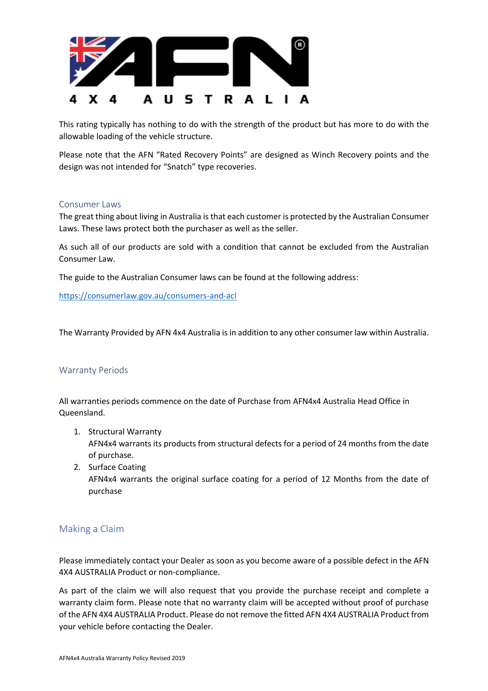

This rating typically has nothing to do with the strength of the product but has more to do with the allowable loading of the vehicle structure.

Please note that the AFN "Rated Recovery Points" are designed as Winch Recovery points and the design was not intended for "Snatch" type recoveries.

## Consumer Laws

The great thing about living in Australia is that each customer is protected by the Australian Consumer Laws. These laws protect both the purchaser as well as the seller.

As such all of our products are sold with a condition that cannot be excluded from the Australian Consumer Law.

The guide to the Australian Consumer laws can be found at the following address:

<https://consumerlaw.gov.au/consumers-and-acl>

The Warranty Provided by AFN 4x4 Australia is in addition to any other consumer law within Australia.

## Warranty Periods

All warranties periods commence on the date of Purchase from AFN4x4 Australia Head Office in Queensland.

- 1. Structural Warranty AFN4x4 warrants its products from structural defects for a period of 24 months from the date of purchase.
- 2. Surface Coating AFN4x4 warrants the original surface coating for a period of 12 Months from the date of purchase

## Making a Claim

Please immediately contact your Dealer as soon as you become aware of a possible defect in the AFN 4X4 AUSTRALIA Product or non-compliance.

As part of the claim we will also request that you provide the purchase receipt and complete a warranty claim form. Please note that no warranty claim will be accepted without proof of purchase of the AFN 4X4 AUSTRALIA Product. Please do not remove the fitted AFN 4X4 AUSTRALIA Product from your vehicle before contacting the Dealer.